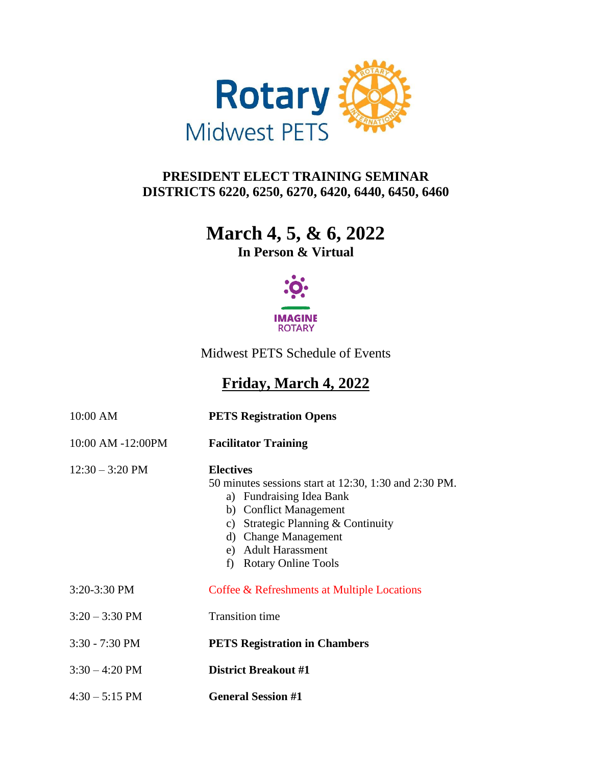

## **PRESIDENT ELECT TRAINING SEMINAR DISTRICTS 6220, 6250, 6270, 6420, 6440, 6450, 6460**

## **March 4, 5, & 6, 2022**

**In Person & Virtual**



Midwest PETS Schedule of Events

## **Friday, March 4, 2022**

| 10:00 AM                  | <b>PETS Registration Opens</b>                                                                                                                                                                                                                 |
|---------------------------|------------------------------------------------------------------------------------------------------------------------------------------------------------------------------------------------------------------------------------------------|
| 10:00 AM -12:00PM         | <b>Facilitator Training</b>                                                                                                                                                                                                                    |
| $12:30 - 3:20 \text{ PM}$ | <b>Electives</b><br>50 minutes sessions start at 12:30, 1:30 and 2:30 PM.<br>a) Fundraising Idea Bank<br>b) Conflict Management<br>c) Strategic Planning & Continuity<br>d) Change Management<br>e) Adult Harassment<br>f) Rotary Online Tools |
| $3:20-3:30$ PM            | Coffee & Refreshments at Multiple Locations                                                                                                                                                                                                    |
| $3:20 - 3:30$ PM          | <b>Transition</b> time                                                                                                                                                                                                                         |
| $3:30 - 7:30$ PM          | <b>PETS Registration in Chambers</b>                                                                                                                                                                                                           |
| $3:30 - 4:20$ PM          | <b>District Breakout #1</b>                                                                                                                                                                                                                    |
| $4:30 - 5:15$ PM          | <b>General Session #1</b>                                                                                                                                                                                                                      |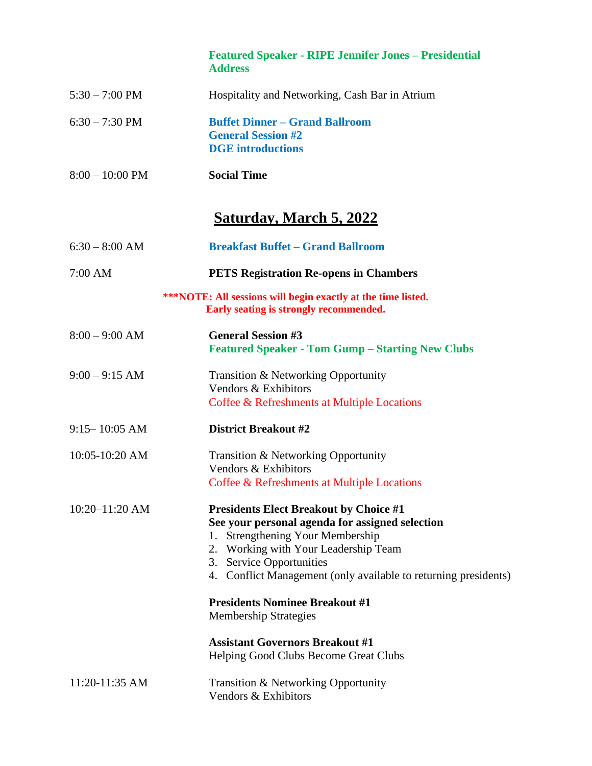|                   | <b>Featured Speaker - RIPE Jennifer Jones - Presidential</b><br><b>Address</b>                                                                                                                                                                                                        |
|-------------------|---------------------------------------------------------------------------------------------------------------------------------------------------------------------------------------------------------------------------------------------------------------------------------------|
| $5:30 - 7:00$ PM  | Hospitality and Networking, Cash Bar in Atrium                                                                                                                                                                                                                                        |
| $6:30 - 7:30$ PM  | <b>Buffet Dinner - Grand Ballroom</b><br><b>General Session #2</b><br><b>DGE</b> introductions                                                                                                                                                                                        |
| $8:00 - 10:00$ PM | <b>Social Time</b>                                                                                                                                                                                                                                                                    |
|                   | <u>Saturday, March 5, 2022</u>                                                                                                                                                                                                                                                        |
| $6:30 - 8:00$ AM  | <b>Breakfast Buffet – Grand Ballroom</b>                                                                                                                                                                                                                                              |
| $7:00$ AM         | <b>PETS Registration Re-opens in Chambers</b>                                                                                                                                                                                                                                         |
|                   | <b>***NOTE:</b> All sessions will begin exactly at the time listed.<br>Early seating is strongly recommended.                                                                                                                                                                         |
| $8:00 - 9:00$ AM  | <b>General Session #3</b><br><b>Featured Speaker - Tom Gump – Starting New Clubs</b>                                                                                                                                                                                                  |
| $9:00 - 9:15$ AM  | Transition & Networking Opportunity<br>Vendors & Exhibitors<br>Coffee & Refreshments at Multiple Locations                                                                                                                                                                            |
| $9:15 - 10:05$ AM | <b>District Breakout #2</b>                                                                                                                                                                                                                                                           |
| 10:05-10:20 AM    | Transition & Networking Opportunity<br>Vendors & Exhibitors<br>Coffee & Refreshments at Multiple Locations                                                                                                                                                                            |
| 10:20-11:20 AM    | <b>Presidents Elect Breakout by Choice #1</b><br>See your personal agenda for assigned selection<br><b>Strengthening Your Membership</b><br>1.<br>2. Working with Your Leadership Team<br>3. Service Opportunities<br>4. Conflict Management (only available to returning presidents) |
|                   | <b>Presidents Nominee Breakout #1</b><br><b>Membership Strategies</b>                                                                                                                                                                                                                 |
|                   | <b>Assistant Governors Breakout #1</b><br>Helping Good Clubs Become Great Clubs                                                                                                                                                                                                       |
| 11:20-11:35 AM    | Transition & Networking Opportunity<br>Vendors & Exhibitors                                                                                                                                                                                                                           |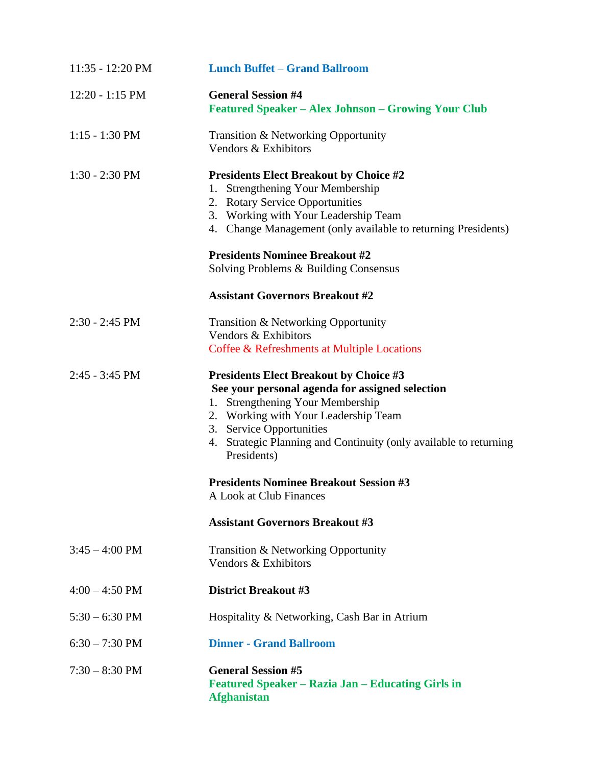| 11:35 - 12:20 PM         | <b>Lunch Buffet - Grand Ballroom</b>                                                                                                                                                                                                                                                         |
|--------------------------|----------------------------------------------------------------------------------------------------------------------------------------------------------------------------------------------------------------------------------------------------------------------------------------------|
| $12:20 - 1:15$ PM        | <b>General Session #4</b><br><b>Featured Speaker - Alex Johnson - Growing Your Club</b>                                                                                                                                                                                                      |
| $1:15 - 1:30$ PM         | Transition & Networking Opportunity<br>Vendors & Exhibitors                                                                                                                                                                                                                                  |
| $1:30 - 2:30$ PM         | <b>Presidents Elect Breakout by Choice #2</b><br>1. Strengthening Your Membership<br>2. Rotary Service Opportunities<br>3. Working with Your Leadership Team<br>4. Change Management (only available to returning Presidents)                                                                |
|                          | <b>Presidents Nominee Breakout #2</b><br>Solving Problems & Building Consensus                                                                                                                                                                                                               |
|                          | <b>Assistant Governors Breakout #2</b>                                                                                                                                                                                                                                                       |
| $2:30 - 2:45$ PM         | Transition & Networking Opportunity<br>Vendors & Exhibitors<br>Coffee & Refreshments at Multiple Locations                                                                                                                                                                                   |
| $2:45 - 3:45$ PM         | <b>Presidents Elect Breakout by Choice #3</b><br>See your personal agenda for assigned selection<br>1. Strengthening Your Membership<br>2. Working with Your Leadership Team<br>3. Service Opportunities<br>4. Strategic Planning and Continuity (only available to returning<br>Presidents) |
|                          | <b>Presidents Nominee Breakout Session #3</b><br>A Look at Club Finances                                                                                                                                                                                                                     |
|                          | <b>Assistant Governors Breakout #3</b>                                                                                                                                                                                                                                                       |
| $3:45 - 4:00 \text{ PM}$ | Transition & Networking Opportunity<br>Vendors & Exhibitors                                                                                                                                                                                                                                  |
| $4:00 - 4:50 \text{ PM}$ | <b>District Breakout #3</b>                                                                                                                                                                                                                                                                  |
| $5:30 - 6:30$ PM         | Hospitality & Networking, Cash Bar in Atrium                                                                                                                                                                                                                                                 |
| $6:30 - 7:30$ PM         | <b>Dinner - Grand Ballroom</b>                                                                                                                                                                                                                                                               |
| $7:30 - 8:30$ PM         | <b>General Session #5</b><br>Featured Speaker – Razia Jan – Educating Girls in<br><b>Afghanistan</b>                                                                                                                                                                                         |